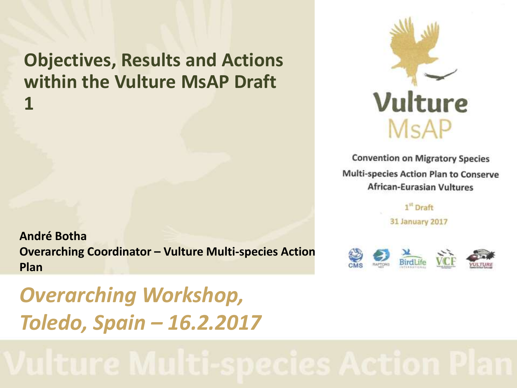# **Objectives, Results and Actions within the Vulture MsAP Draft 1**

**Convention on Migratory Species** Multi-species Action Plan to Conserve **African-Eurasian Vultures** 

> 1<sup>st</sup> Draft 31 January 2017



*Overarching Workshop, Toledo, Spain – 16.2.2017*

**Overarching Coordinator – Vulture Multi-species Action** 

**André Botha**

**Plan**

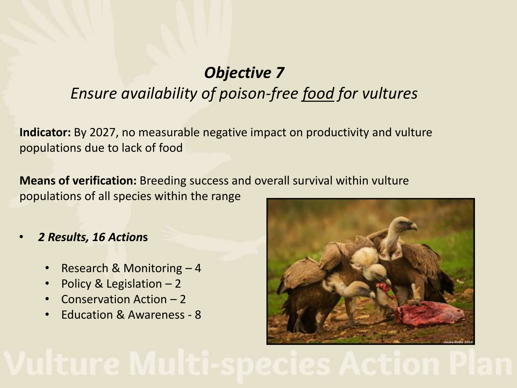## *Ensure availability of poison-free food for vultures*

**Indicator:** By 2027, no measurable negative impact on productivity and vulture populations due to lack of food

**Means of verification:** Breeding success and overall survival within vulture populations of all species within the range

- *2 Results, 16 Action***s**
	- Research & Monitoring 4
	- Policy & Legislation  $-2$
	- Conservation Action 2
	- Education & Awareness 8

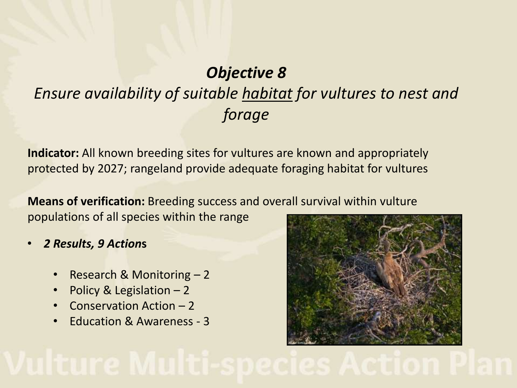## *Ensure availability of suitable habitat for vultures to nest and forage*

**Indicator:** All known breeding sites for vultures are known and appropriately protected by 2027; rangeland provide adequate foraging habitat for vultures

**Means of verification:** Breeding success and overall survival within vulture populations of all species within the range

- *2 Results, 9 Action***s**
	- Research & Monitoring 2
	- Policy & Legislation 2
	- Conservation Action 2
	- Education & Awareness 3

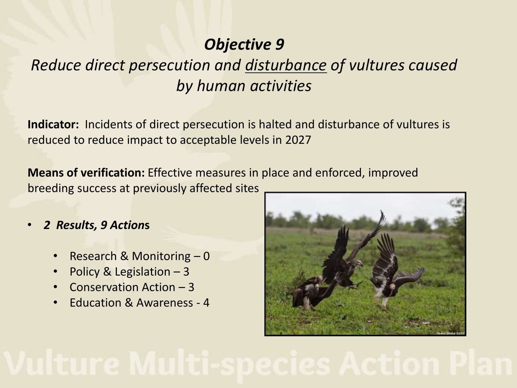## *Reduce direct persecution and disturbance of vultures caused by human activities*

**Indicator:** Incidents of direct persecution is halted and disturbance of vultures is reduced to reduce impact to acceptable levels in 2027

**Means of verification:** Effective measures in place and enforced, improved breeding success at previously affected sites

- *2 Results, 9 Action***s**
	- Research & Monitoring  $-0$
	- Policy & Legislation  $-3$
	- Conservation Action 3
	- Education & Awareness 4

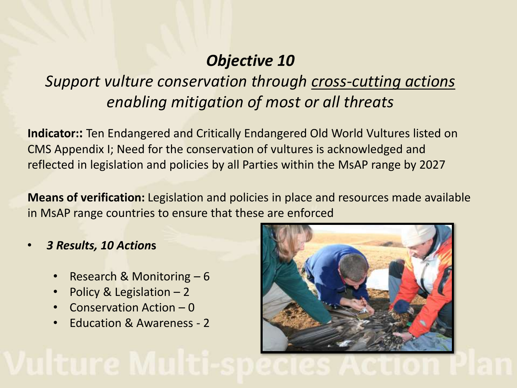## *Support vulture conservation through cross-cutting actions enabling mitigation of most or all threats*

**Indicator::** Ten Endangered and Critically Endangered Old World Vultures listed on CMS Appendix I; Need for the conservation of vultures is acknowledged and reflected in legislation and policies by all Parties within the MsAP range by 2027

**Means of verification:** Legislation and policies in place and resources made available in MsAP range countries to ensure that these are enforced

- *3 Results, 10 Action***s**
	- Research & Monitoring 6
	- Policy & Legislation 2
	- Conservation Action  $-0$
	- Education & Awareness 2

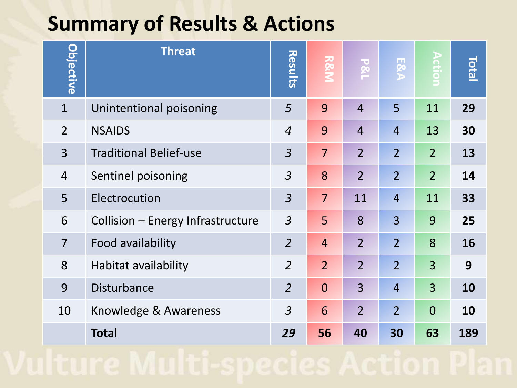# **Summary of Results & Actions**

| <b>Objective</b> | <b>Threat</b>                     | Results        | R&N            | <b>P&amp;1</b> | E&A            | Action         | <b>Total</b> |
|------------------|-----------------------------------|----------------|----------------|----------------|----------------|----------------|--------------|
| $\mathbf{1}$     | Unintentional poisoning           | 5              | 9              | $\overline{4}$ | 5              | 11             | 29           |
| $\overline{2}$   | <b>NSAIDS</b>                     | $\overline{4}$ | 9              | $\overline{4}$ | $\overline{4}$ | 13             | 30           |
| 3                | <b>Traditional Belief-use</b>     | $\overline{3}$ | $\overline{7}$ | $\overline{2}$ | $\overline{2}$ | $\overline{2}$ | 13           |
| $\overline{4}$   | Sentinel poisoning                | $\overline{3}$ | 8              | $\overline{2}$ | $\overline{2}$ | $\overline{2}$ | 14           |
| 5                | Electrocution                     | $\overline{3}$ | $\overline{7}$ | 11             | $\overline{4}$ | 11             | 33           |
| 6                | Collision - Energy Infrastructure | $\overline{3}$ | 5              | 8              | $\overline{3}$ | 9              | 25           |
| $\overline{7}$   | Food availability                 | $\overline{2}$ | $\overline{4}$ | $\overline{2}$ | $\overline{2}$ | 8              | 16           |
| 8                | Habitat availability              | $\overline{2}$ | $\overline{2}$ | $\overline{2}$ | $\overline{2}$ | $\overline{3}$ | 9            |
| 9                | <b>Disturbance</b>                | $\overline{2}$ | $\overline{0}$ | $\overline{3}$ | $\overline{4}$ | $\overline{3}$ | 10           |
| 10               | Knowledge & Awareness             | $\overline{3}$ | 6              | $\overline{2}$ | $\overline{2}$ | $\overline{0}$ | 10           |
|                  | <b>Total</b>                      | 29             | 56             | 40             | 30             | 63             | 189          |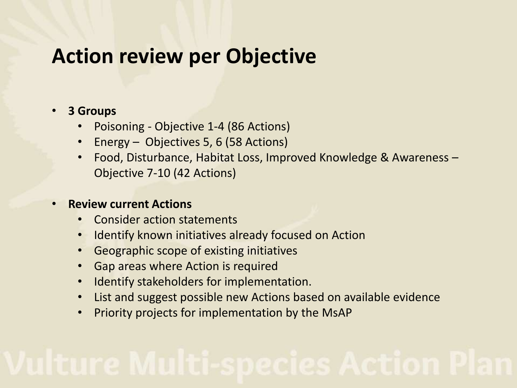# **Action review per Objective**

### • **3 Groups**

- Poisoning Objective 1-4 (86 Actions)
- Energy Objectives 5, 6 (58 Actions)
- Food, Disturbance, Habitat Loss, Improved Knowledge & Awareness Objective 7-10 (42 Actions)

### • **Review current Actions**

- Consider action statements
- Identify known initiatives already focused on Action
- Geographic scope of existing initiatives
- Gap areas where Action is required
- Identify stakeholders for implementation.
- List and suggest possible new Actions based on available evidence
- Priority projects for implementation by the MsAP